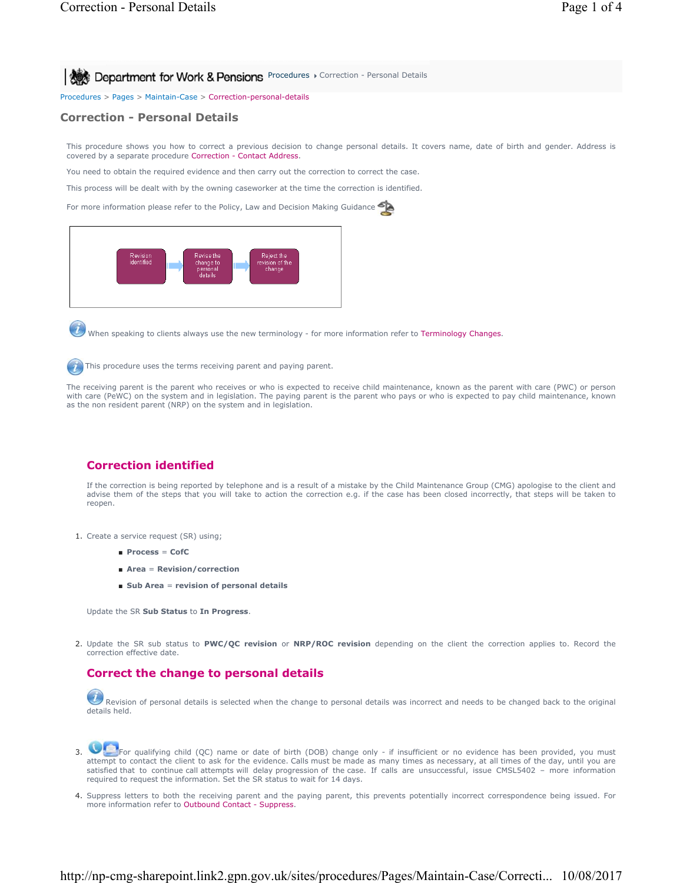**Procedures > Correction - Personal Details** 

Procedures > Pages > Maintain-Case > Correction-personal-details

# **Correction - Personal Details**

This procedure shows you how to correct a previous decision to change personal details. It covers name, date of birth and gender. Address is covered by a separate procedure Correction - Contact Address.

You need to obtain the required evidence and then carry out the correction to correct the case.

This process will be dealt with by the owning caseworker at the time the correction is identified.

For more information please refer to the Policy, Law and Decision Making Guidance



When speaking to clients always use the new terminology - for more information refer to Terminology Changes.

This procedure uses the terms receiving parent and paying parent.

The receiving parent is the parent who receives or who is expected to receive child maintenance, known as the parent with care (PWC) or person with care (PeWC) on the system and in legislation. The paying parent is the parent who pays or who is expected to pay child maintenance, known as the non resident parent (NRP) on the system and in legislation.

# **Correction identified**

If the correction is being reported by telephone and is a result of a mistake by the Child Maintenance Group (CMG) apologise to the client and advise them of the steps that you will take to action the correction e.g. if the case has been closed incorrectly, that steps will be taken to reopen.

- 1. Create a service request (SR) using;
	- **Process** = **CofC**
	- **Area** = **Revision/correction**
	- Sub Area = revision of personal details

Update the SR **Sub Status** to **In Progress**.

2. Update the SR sub status to PWC/QC revision or NRP/ROC revision depending on the client the correction applies to. Record the correction effective date.

# **Correct the change to personal details**

Revision of personal details is selected when the change to personal details was incorrect and needs to be changed back to the original details held.

For qualifying child (QC) name or date of birth (DOB) change only - if insufficient or no evidence has been provided, you must attempt to contact the client to ask for the evidence. Calls must be made as many times as necessary, at all times of the day, until you are satisfied that to continue call attempts will delay progression of the case. If calls are unsuccessful, issue CMSL5402 – more information required to request the information. Set the SR status to wait for 14 days. 3.

4. Suppress letters to both the receiving parent and the paying parent, this prevents potentially incorrect correspondence being issued. For more information refer to Outbound Contact - Suppress.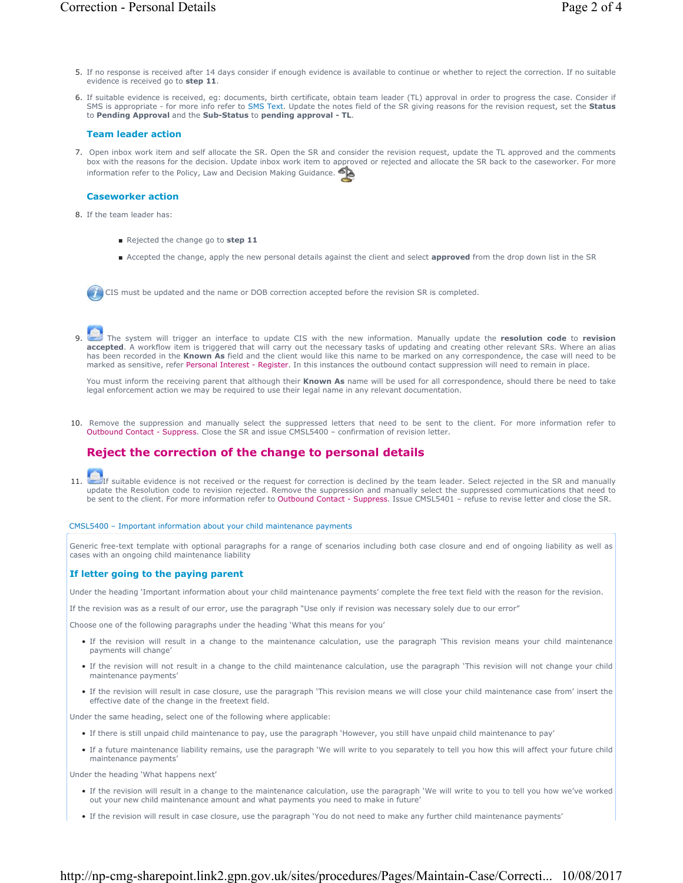- 5. If no response is received after 14 days consider if enough evidence is available to continue or whether to reject the correction. If no suitable evidence is received go to **step 11**.
- If suitable evidence is received, eg: documents, birth certificate, obtain team leader (TL) approval in order to progress the case. Consider if SMS is appropriate - for more info refer to SMS Text. Update the notes field of the SR giving reasons for the revision request, set the **Status** to **Pending Approval** and the **Sub-Status** to **pending approval - TL**. 6.

#### **Team leader action**

7. Open inbox work item and self allocate the SR. Open the SR and consider the revision request, update the TL approved and the comments box with the reasons for the decision. Update inbox work item to approved or rejected and allocate the SR back to the caseworker. For more information refer to the Policy, Law and Decision Making Guidance.

### **Caseworker action**

- 8. If the team leader has:
	- Rejected the change go to step 11
	- Accepted the change, apply the new personal details against the client and select **approved** from the drop down list in the SR

CIS must be updated and the name or DOB correction accepted before the revision SR is completed.

# 9.

The system will trigger an interface to update CIS with the new information. Manually update the **resolution code** to **revision**  accepted. A workflow item is triggered that will carry out the necessary tasks of updating and creating other relevant SRs. Where an alias has been recorded in the **Known As** field and the client would like this name to be marked on any correspondence, the case will need to be marked as sensitive, refer Personal Interest - Register. In this instances the outbound contact suppression will need to remain in place.

You must inform the receiving parent that although their **Known As** name will be used for all correspondence, should there be need to take legal enforcement action we may be required to use their legal name in any relevant documentation.

10. Remove the suppression and manually select the suppressed letters that need to be sent to the client. For more information refer to Outbound Contact - Suppress. Close the SR and issue CMSL5400 – confirmation of revision letter.

# **Reject the correction of the change to personal details**

If suitable evidence is not received or the request for correction is declined by the team leader. Select rejected in the SR and manually update the Resolution code to revision rejected. Remove the suppression and manually select the suppressed communications that need to be sent to the client. For more information refer to Outbound Contact - Suppress. Issue CMSL5401 – refuse to revise letter and close the SR. 11.

#### CMSL5400 – Important information about your child maintenance payments

Generic free-text template with optional paragraphs for a range of scenarios including both case closure and end of ongoing liability as well as cases with an ongoing child maintenance liability

## **If letter going to the paying parent**

Under the heading 'Important information about your child maintenance payments' complete the free text field with the reason for the revision.

If the revision was as a result of our error, use the paragraph "Use only if revision was necessary solely due to our error"

Choose one of the following paragraphs under the heading 'What this means for you'

- If the revision will result in a change to the maintenance calculation, use the paragraph 'This revision means your child maintenance payments will change'
- If the revision will not result in a change to the child maintenance calculation, use the paragraph 'This revision will not change your child maintenance payments'
- If the revision will result in case closure, use the paragraph 'This revision means we will close your child maintenance case from' insert the effective date of the change in the freetext field.

Under the same heading, select one of the following where applicable:

- If there is still unpaid child maintenance to pay, use the paragraph 'However, you still have unpaid child maintenance to pay'
- If a future maintenance liability remains, use the paragraph 'We will write to you separately to tell you how this will affect your future child maintenance payments'

Under the heading 'What happens next'

- If the revision will result in a change to the maintenance calculation, use the paragraph 'We will write to you to tell you how we've worked out your new child maintenance amount and what payments you need to make in future'
- If the revision will result in case closure, use the paragraph 'You do not need to make any further child maintenance payments'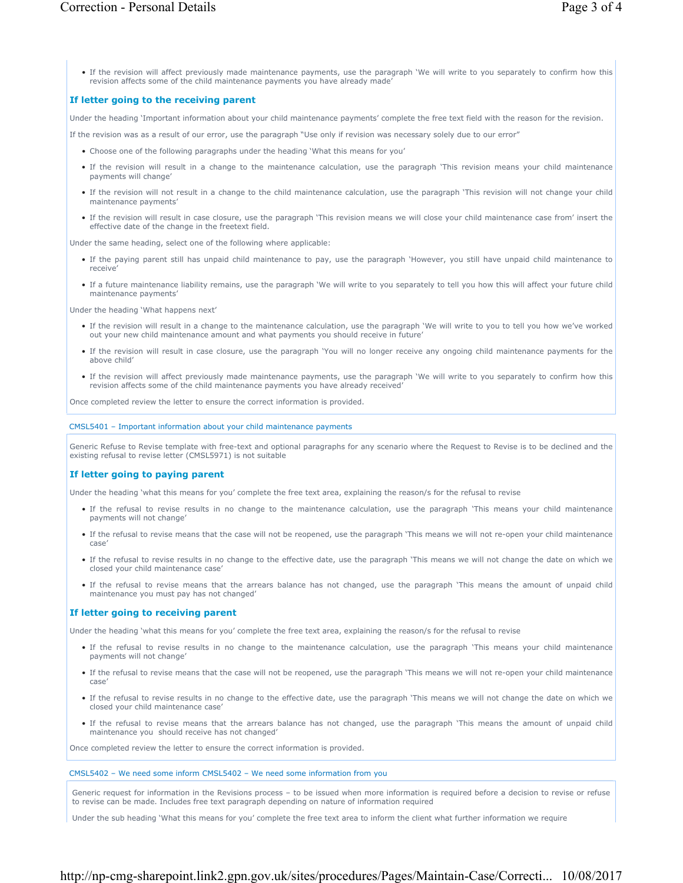• If the revision will affect previously made maintenance payments, use the paragraph 'We will write to you separately to confirm how this revision affects some of the child maintenance payments you have already made'

#### **If letter going to the receiving parent**

Under the heading 'Important information about your child maintenance payments' complete the free text field with the reason for the revision.

If the revision was as a result of our error, use the paragraph "Use only if revision was necessary solely due to our error"

- Choose one of the following paragraphs under the heading 'What this means for you'
- If the revision will result in a change to the maintenance calculation, use the paragraph 'This revision means your child maintenance payments will change'
- If the revision will not result in a change to the child maintenance calculation, use the paragraph 'This revision will not change your child maintenance payments'
- If the revision will result in case closure, use the paragraph 'This revision means we will close your child maintenance case from' insert the effective date of the change in the freetext field.

Under the same heading, select one of the following where applicable:

- If the paying parent still has unpaid child maintenance to pay, use the paragraph 'However, you still have unpaid child maintenance to receive'
- If a future maintenance liability remains, use the paragraph 'We will write to you separately to tell you how this will affect your future child maintenance payments'

Under the heading 'What happens next'

- If the revision will result in a change to the maintenance calculation, use the paragraph 'We will write to you to tell you how we've worked out your new child maintenance amount and what payments you should receive in future'
- If the revision will result in case closure, use the paragraph 'You will no longer receive any ongoing child maintenance payments for the above child'
- If the revision will affect previously made maintenance payments, use the paragraph 'We will write to you separately to confirm how this revision affects some of the child maintenance payments you have already received'

Once completed review the letter to ensure the correct information is provided.

#### CMSL5401 – Important information about your child maintenance payments

Generic Refuse to Revise template with free-text and optional paragraphs for any scenario where the Request to Revise is to be declined and the existing refusal to revise letter (CMSL5971) is not suitable

#### **If letter going to paying parent**

Under the heading 'what this means for you' complete the free text area, explaining the reason/s for the refusal to revise

- If the refusal to revise results in no change to the maintenance calculation, use the paragraph 'This means your child maintenance payments will not change'
- If the refusal to revise means that the case will not be reopened, use the paragraph 'This means we will not re-open your child maintenance case'
- If the refusal to revise results in no change to the effective date, use the paragraph 'This means we will not change the date on which we closed your child maintenance case'
- If the refusal to revise means that the arrears balance has not changed, use the paragraph 'This means the amount of unpaid child maintenance you must pay has not changed'

#### **If letter going to receiving parent**

Under the heading 'what this means for you' complete the free text area, explaining the reason/s for the refusal to revise

- If the refusal to revise results in no change to the maintenance calculation, use the paragraph 'This means your child maintenance payments will not change'
- If the refusal to revise means that the case will not be reopened, use the paragraph 'This means we will not re-open your child maintenance case'
- If the refusal to revise results in no change to the effective date, use the paragraph 'This means we will not change the date on which we closed your child maintenance case'
- If the refusal to revise means that the arrears balance has not changed, use the paragraph 'This means the amount of unpaid child maintenance you should receive has not changed'

Once completed review the letter to ensure the correct information is provided.

#### CMSL5402 – We need some inform CMSL5402 – We need some information from you

Generic request for information in the Revisions process – to be issued when more information is required before a decision to revise or refuse to revise can be made. Includes free text paragraph depending on nature of information required

Under the sub heading 'What this means for you' complete the free text area to inform the client what further information we require